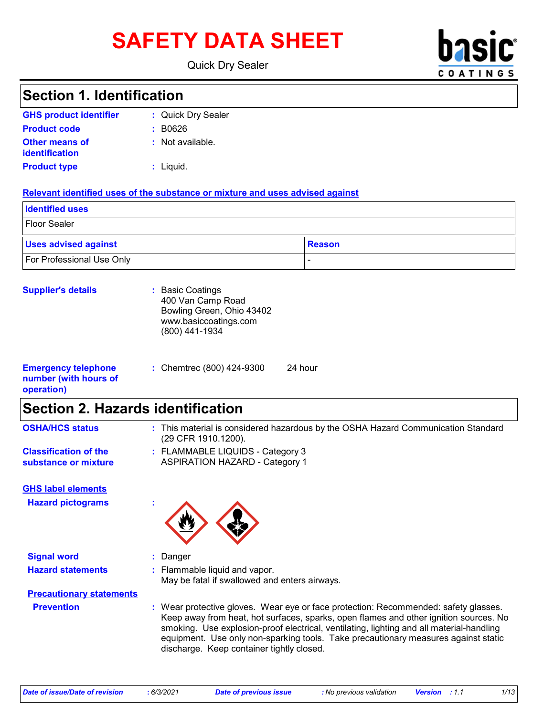# SAFETY DATA SHEET **basic**

Quick Dry Sealer



# **Section 1. Identification**

| <b>GHS product identifier</b>                  | : Quick Dry Sealer |
|------------------------------------------------|--------------------|
| <b>Product code</b>                            | : B0626            |
| <b>Other means of</b><br><b>identification</b> | $:$ Not available. |
| <b>Product type</b>                            | $:$ Liquid.        |

#### **Relevant identified uses of the substance or mixture and uses advised against**

| <b>Identified uses</b>           |               |  |
|----------------------------------|---------------|--|
| <b>Floor Sealer</b>              |               |  |
| <b>Uses advised against</b>      | <b>Reason</b> |  |
| <b>For Professional Use Only</b> |               |  |

| <b>Supplier's details</b>                                         | : Basic Coatings<br>400 Van Camp Road<br>Bowling Green, Ohio 43402<br>www.basiccoatings.com<br>(800) 441-1934 |         |
|-------------------------------------------------------------------|---------------------------------------------------------------------------------------------------------------|---------|
| <b>Emergency telephone</b><br>number (with hours of<br>operation) | : Chemtrec (800) 424-9300                                                                                     | 24 hour |

# **Section 2. Hazards identification**

| <b>OSHA/HCS status</b>                               | : This material is considered hazardous by the OSHA Hazard Communication Standard<br>(29 CFR 1910.1200).                                                                                                                                                                                                                                                                                                    |
|------------------------------------------------------|-------------------------------------------------------------------------------------------------------------------------------------------------------------------------------------------------------------------------------------------------------------------------------------------------------------------------------------------------------------------------------------------------------------|
| <b>Classification of the</b><br>substance or mixture | : FLAMMABLE LIQUIDS - Category 3<br><b>ASPIRATION HAZARD - Category 1</b>                                                                                                                                                                                                                                                                                                                                   |
| <b>GHS label elements</b>                            |                                                                                                                                                                                                                                                                                                                                                                                                             |
| <b>Hazard pictograms</b>                             |                                                                                                                                                                                                                                                                                                                                                                                                             |
| <b>Signal word</b>                                   | : Danger                                                                                                                                                                                                                                                                                                                                                                                                    |
| <b>Hazard statements</b>                             | : Flammable liquid and vapor.<br>May be fatal if swallowed and enters airways.                                                                                                                                                                                                                                                                                                                              |
| <b>Precautionary statements</b>                      |                                                                                                                                                                                                                                                                                                                                                                                                             |
| <b>Prevention</b>                                    | : Wear protective gloves. Wear eye or face protection: Recommended: safety glasses.<br>Keep away from heat, hot surfaces, sparks, open flames and other ignition sources. No<br>smoking. Use explosion-proof electrical, ventilating, lighting and all material-handling<br>equipment. Use only non-sparking tools. Take precautionary measures against static<br>discharge. Keep container tightly closed. |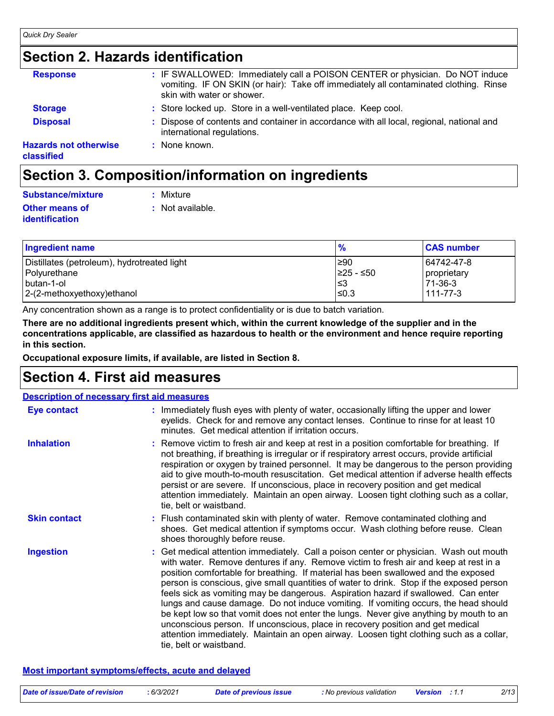# **Section 2. Hazards identification**

| <b>Response</b>                            | : IF SWALLOWED: Immediately call a POISON CENTER or physician. Do NOT induce<br>vomiting. IF ON SKIN (or hair): Take off immediately all contaminated clothing. Rinse<br>skin with water or shower. |
|--------------------------------------------|-----------------------------------------------------------------------------------------------------------------------------------------------------------------------------------------------------|
| <b>Storage</b>                             | : Store locked up. Store in a well-ventilated place. Keep cool.                                                                                                                                     |
| <b>Disposal</b>                            | : Dispose of contents and container in accordance with all local, regional, national and<br>international regulations.                                                                              |
| <b>Hazards not otherwise</b><br>classified | : None known.                                                                                                                                                                                       |
|                                            |                                                                                                                                                                                                     |

### **Section 3. Composition/information on ingredients**

| <b>Substance/mixture</b> | $:$ Mixture      |
|--------------------------|------------------|
| <b>Other means of</b>    | : Not available. |
| identification           |                  |

| <b>Ingredient name</b>                      | $\frac{9}{6}$ | <b>CAS number</b> |
|---------------------------------------------|---------------|-------------------|
| Distillates (petroleum), hydrotreated light | ≥90           | 64742-47-8        |
| Polyurethane                                | ≥25 - ≤50     | proprietary       |
| butan-1-ol                                  | I≤З           | 71-36-3           |
| 2-(2-methoxyethoxy) ethanol                 | ≤0.3          | $111 - 77 - 3$    |

Any concentration shown as a range is to protect confidentiality or is due to batch variation.

**There are no additional ingredients present which, within the current knowledge of the supplier and in the concentrations applicable, are classified as hazardous to health or the environment and hence require reporting in this section.**

**Occupational exposure limits, if available, are listed in Section 8.**

### **Section 4. First aid measures**

| <b>Description of necessary first aid measures</b> |                                                                                                                                                                                                                                                                                                                                                                                                                                                                                                                                                                                                                                                                                                                                                                                                                                                 |
|----------------------------------------------------|-------------------------------------------------------------------------------------------------------------------------------------------------------------------------------------------------------------------------------------------------------------------------------------------------------------------------------------------------------------------------------------------------------------------------------------------------------------------------------------------------------------------------------------------------------------------------------------------------------------------------------------------------------------------------------------------------------------------------------------------------------------------------------------------------------------------------------------------------|
| <b>Eye contact</b>                                 | : Immediately flush eyes with plenty of water, occasionally lifting the upper and lower<br>eyelids. Check for and remove any contact lenses. Continue to rinse for at least 10<br>minutes. Get medical attention if irritation occurs.                                                                                                                                                                                                                                                                                                                                                                                                                                                                                                                                                                                                          |
| <b>Inhalation</b>                                  | : Remove victim to fresh air and keep at rest in a position comfortable for breathing. If<br>not breathing, if breathing is irregular or if respiratory arrest occurs, provide artificial<br>respiration or oxygen by trained personnel. It may be dangerous to the person providing<br>aid to give mouth-to-mouth resuscitation. Get medical attention if adverse health effects<br>persist or are severe. If unconscious, place in recovery position and get medical<br>attention immediately. Maintain an open airway. Loosen tight clothing such as a collar,<br>tie, belt or waistband.                                                                                                                                                                                                                                                    |
| <b>Skin contact</b>                                | : Flush contaminated skin with plenty of water. Remove contaminated clothing and<br>shoes. Get medical attention if symptoms occur. Wash clothing before reuse. Clean<br>shoes thoroughly before reuse.                                                                                                                                                                                                                                                                                                                                                                                                                                                                                                                                                                                                                                         |
| <b>Ingestion</b>                                   | : Get medical attention immediately. Call a poison center or physician. Wash out mouth<br>with water. Remove dentures if any. Remove victim to fresh air and keep at rest in a<br>position comfortable for breathing. If material has been swallowed and the exposed<br>person is conscious, give small quantities of water to drink. Stop if the exposed person<br>feels sick as vomiting may be dangerous. Aspiration hazard if swallowed. Can enter<br>lungs and cause damage. Do not induce vomiting. If vomiting occurs, the head should<br>be kept low so that vomit does not enter the lungs. Never give anything by mouth to an<br>unconscious person. If unconscious, place in recovery position and get medical<br>attention immediately. Maintain an open airway. Loosen tight clothing such as a collar,<br>tie, belt or waistband. |

#### **Most important symptoms/effects, acute and delayed**

| Date of issue/Date of revision | 6/3/2021 | Date of previous issue | : No previous validation | <b>Version</b> : 1.1 | 2/13 |
|--------------------------------|----------|------------------------|--------------------------|----------------------|------|
|                                |          |                        |                          |                      |      |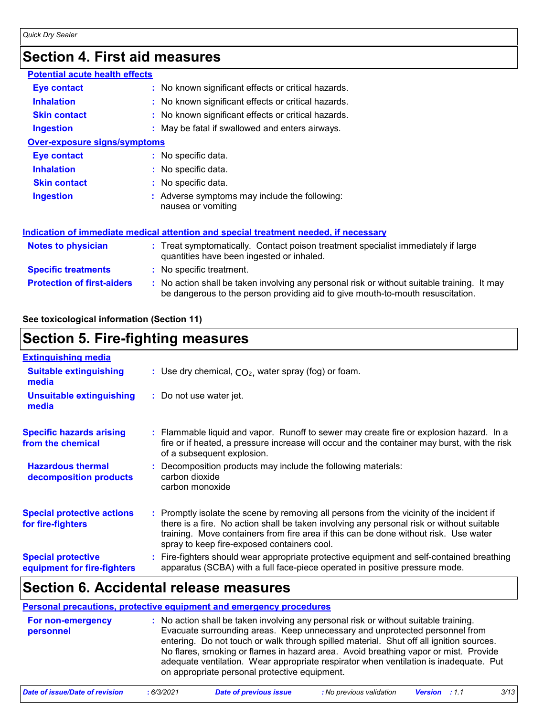# **Section 4. First aid measures**

| <b>Potential acute health effects</b> |                                                                                                                                                                               |
|---------------------------------------|-------------------------------------------------------------------------------------------------------------------------------------------------------------------------------|
| Eye contact                           | : No known significant effects or critical hazards.                                                                                                                           |
| <b>Inhalation</b>                     | : No known significant effects or critical hazards.                                                                                                                           |
| <b>Skin contact</b>                   | : No known significant effects or critical hazards.                                                                                                                           |
| <b>Ingestion</b>                      | : May be fatal if swallowed and enters airways.                                                                                                                               |
| <b>Over-exposure signs/symptoms</b>   |                                                                                                                                                                               |
| Eye contact                           | : No specific data.                                                                                                                                                           |
| <b>Inhalation</b>                     | : No specific data.                                                                                                                                                           |
| <b>Skin contact</b>                   | : No specific data.                                                                                                                                                           |
| <b>Ingestion</b>                      | : Adverse symptoms may include the following:<br>nausea or vomiting                                                                                                           |
|                                       | <u>Indication of immediate medical attention and special treatment needed, if necessary</u>                                                                                   |
| <b>Notes to physician</b>             | : Treat symptomatically. Contact poison treatment specialist immediately if large<br>quantities have been ingested or inhaled.                                                |
| <b>Specific treatments</b>            | : No specific treatment.                                                                                                                                                      |
| <b>Protection of first-aiders</b>     | : No action shall be taken involving any personal risk or without suitable training. It may<br>be dangerous to the person providing aid to give mouth-to-mouth resuscitation. |

#### **See toxicological information (Section 11)**

### **Section 5. Fire-fighting measures**

| <b>Extinguishing media</b>                               |                                                                                                                                                                                                                                                                                                                               |
|----------------------------------------------------------|-------------------------------------------------------------------------------------------------------------------------------------------------------------------------------------------------------------------------------------------------------------------------------------------------------------------------------|
| <b>Suitable extinguishing</b><br>media                   | : Use dry chemical, $CO2$ , water spray (fog) or foam.                                                                                                                                                                                                                                                                        |
| <b>Unsuitable extinguishing</b><br>media                 | : Do not use water jet.                                                                                                                                                                                                                                                                                                       |
| <b>Specific hazards arising</b><br>from the chemical     | : Flammable liquid and vapor. Runoff to sewer may create fire or explosion hazard. In a<br>fire or if heated, a pressure increase will occur and the container may burst, with the risk<br>of a subsequent explosion.                                                                                                         |
| <b>Hazardous thermal</b><br>decomposition products       | : Decomposition products may include the following materials:<br>carbon dioxide<br>carbon monoxide                                                                                                                                                                                                                            |
| <b>Special protective actions</b><br>for fire-fighters   | : Promptly isolate the scene by removing all persons from the vicinity of the incident if<br>there is a fire. No action shall be taken involving any personal risk or without suitable<br>training. Move containers from fire area if this can be done without risk. Use water<br>spray to keep fire-exposed containers cool. |
| <b>Special protective</b><br>equipment for fire-fighters | : Fire-fighters should wear appropriate protective equipment and self-contained breathing<br>apparatus (SCBA) with a full face-piece operated in positive pressure mode.                                                                                                                                                      |

# **Section 6. Accidental release measures**

#### **Personal precautions, protective equipment and emergency procedures**

| For non-emergency<br>personnel | : No action shall be taken involving any personal risk or without suitable training.<br>Evacuate surrounding areas. Keep unnecessary and unprotected personnel from<br>entering. Do not touch or walk through spilled material. Shut off all ignition sources.<br>No flares, smoking or flames in hazard area. Avoid breathing vapor or mist. Provide<br>adequate ventilation. Wear appropriate respirator when ventilation is inadequate. Put<br>on appropriate personal protective equipment. |
|--------------------------------|-------------------------------------------------------------------------------------------------------------------------------------------------------------------------------------------------------------------------------------------------------------------------------------------------------------------------------------------------------------------------------------------------------------------------------------------------------------------------------------------------|
|                                |                                                                                                                                                                                                                                                                                                                                                                                                                                                                                                 |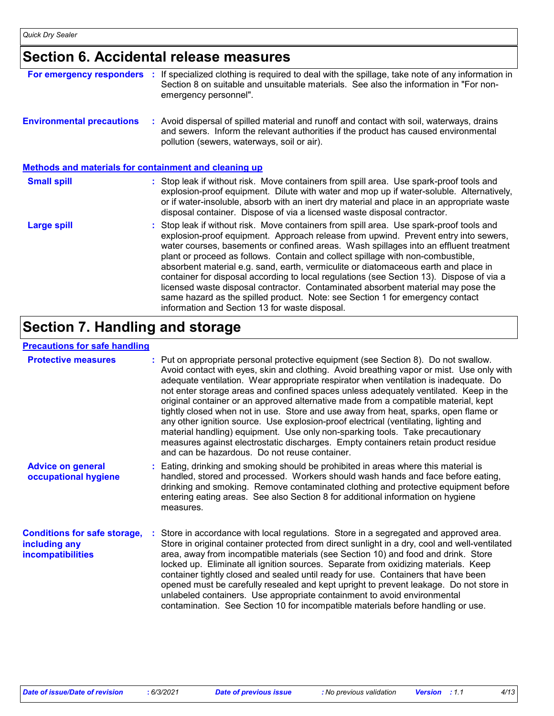# **Section 6. Accidental release measures**

| For emergency responders                                     | If specialized clothing is required to deal with the spillage, take note of any information in<br>Section 8 on suitable and unsuitable materials. See also the information in "For non-<br>emergency personnel".                                                                                                                                                                                                                                                                                                                                                                                                                                                                                                                                                     |
|--------------------------------------------------------------|----------------------------------------------------------------------------------------------------------------------------------------------------------------------------------------------------------------------------------------------------------------------------------------------------------------------------------------------------------------------------------------------------------------------------------------------------------------------------------------------------------------------------------------------------------------------------------------------------------------------------------------------------------------------------------------------------------------------------------------------------------------------|
| <b>Environmental precautions</b>                             | : Avoid dispersal of spilled material and runoff and contact with soil, waterways, drains<br>and sewers. Inform the relevant authorities if the product has caused environmental<br>pollution (sewers, waterways, soil or air).                                                                                                                                                                                                                                                                                                                                                                                                                                                                                                                                      |
| <b>Methods and materials for containment and cleaning up</b> |                                                                                                                                                                                                                                                                                                                                                                                                                                                                                                                                                                                                                                                                                                                                                                      |
| <b>Small spill</b>                                           | : Stop leak if without risk. Move containers from spill area. Use spark-proof tools and<br>explosion-proof equipment. Dilute with water and mop up if water-soluble. Alternatively,<br>or if water-insoluble, absorb with an inert dry material and place in an appropriate waste<br>disposal container. Dispose of via a licensed waste disposal contractor.                                                                                                                                                                                                                                                                                                                                                                                                        |
| <b>Large spill</b>                                           | : Stop leak if without risk. Move containers from spill area. Use spark-proof tools and<br>explosion-proof equipment. Approach release from upwind. Prevent entry into sewers,<br>water courses, basements or confined areas. Wash spillages into an effluent treatment<br>plant or proceed as follows. Contain and collect spillage with non-combustible,<br>absorbent material e.g. sand, earth, vermiculite or diatomaceous earth and place in<br>container for disposal according to local regulations (see Section 13). Dispose of via a<br>licensed waste disposal contractor. Contaminated absorbent material may pose the<br>same hazard as the spilled product. Note: see Section 1 for emergency contact<br>information and Section 13 for waste disposal. |

# **Section 7. Handling and storage**

#### **Precautions for safe handling**

| <b>Protective measures</b>                                                | : Put on appropriate personal protective equipment (see Section 8). Do not swallow.<br>Avoid contact with eyes, skin and clothing. Avoid breathing vapor or mist. Use only with<br>adequate ventilation. Wear appropriate respirator when ventilation is inadequate. Do<br>not enter storage areas and confined spaces unless adequately ventilated. Keep in the<br>original container or an approved alternative made from a compatible material, kept<br>tightly closed when not in use. Store and use away from heat, sparks, open flame or<br>any other ignition source. Use explosion-proof electrical (ventilating, lighting and<br>material handling) equipment. Use only non-sparking tools. Take precautionary<br>measures against electrostatic discharges. Empty containers retain product residue<br>and can be hazardous. Do not reuse container. |
|---------------------------------------------------------------------------|----------------------------------------------------------------------------------------------------------------------------------------------------------------------------------------------------------------------------------------------------------------------------------------------------------------------------------------------------------------------------------------------------------------------------------------------------------------------------------------------------------------------------------------------------------------------------------------------------------------------------------------------------------------------------------------------------------------------------------------------------------------------------------------------------------------------------------------------------------------|
| <b>Advice on general</b><br>occupational hygiene                          | : Eating, drinking and smoking should be prohibited in areas where this material is<br>handled, stored and processed. Workers should wash hands and face before eating,<br>drinking and smoking. Remove contaminated clothing and protective equipment before<br>entering eating areas. See also Section 8 for additional information on hygiene<br>measures.                                                                                                                                                                                                                                                                                                                                                                                                                                                                                                  |
| <b>Conditions for safe storage,</b><br>including any<br>incompatibilities | : Store in accordance with local regulations. Store in a segregated and approved area.<br>Store in original container protected from direct sunlight in a dry, cool and well-ventilated<br>area, away from incompatible materials (see Section 10) and food and drink. Store<br>locked up. Eliminate all ignition sources. Separate from oxidizing materials. Keep<br>container tightly closed and sealed until ready for use. Containers that have been<br>opened must be carefully resealed and kept upright to prevent leakage. Do not store in<br>unlabeled containers. Use appropriate containment to avoid environmental<br>contamination. See Section 10 for incompatible materials before handling or use.                                                                                                                                             |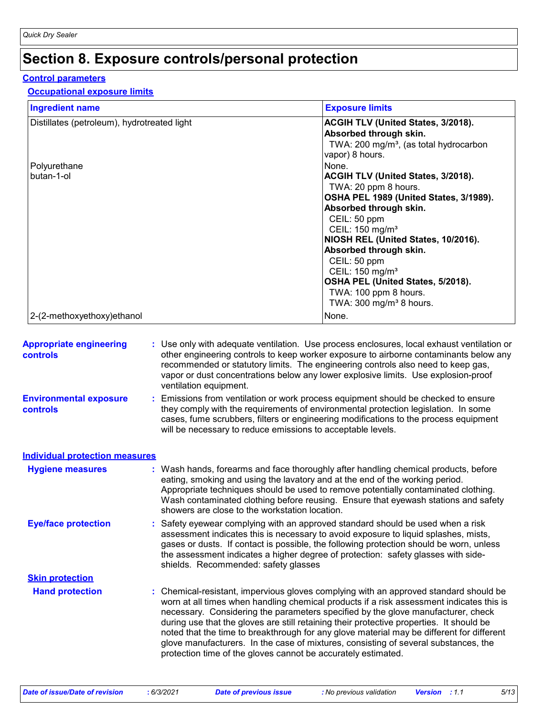# **Section 8. Exposure controls/personal protection**

#### **Control parameters**

#### **Occupational exposure limits**

| <b>Ingredient name</b>                      | <b>Exposure limits</b>                                                |
|---------------------------------------------|-----------------------------------------------------------------------|
| Distillates (petroleum), hydrotreated light | <b>ACGIH TLV (United States, 3/2018).</b><br>Absorbed through skin.   |
|                                             | TWA: 200 mg/m <sup>3</sup> , (as total hydrocarbon<br>vapor) 8 hours. |
| Polyurethane                                | None.                                                                 |
| butan-1-ol                                  | <b>ACGIH TLV (United States, 3/2018).</b>                             |
|                                             | TWA: 20 ppm 8 hours.                                                  |
|                                             | OSHA PEL 1989 (United States, 3/1989).                                |
|                                             | Absorbed through skin.                                                |
|                                             | CEIL: 50 ppm                                                          |
|                                             | CEIL: 150 mg/m <sup>3</sup>                                           |
|                                             | NIOSH REL (United States, 10/2016).                                   |
|                                             | Absorbed through skin.                                                |
|                                             | CEIL: 50 ppm                                                          |
|                                             | CEIL: 150 mg/m <sup>3</sup>                                           |
|                                             | OSHA PEL (United States, 5/2018).                                     |
|                                             | TWA: 100 ppm 8 hours.<br>TWA: $300 \text{ mg/m}^3$ 8 hours.           |
| 2-(2-methoxyethoxy) ethanol                 | None.                                                                 |

| <b>Appropriate engineering</b><br><b>controls</b> | : Use only with adequate ventilation. Use process enclosures, local exhaust ventilation or<br>other engineering controls to keep worker exposure to airborne contaminants below any<br>recommended or statutory limits. The engineering controls also need to keep gas,<br>vapor or dust concentrations below any lower explosive limits. Use explosion-proof<br>ventilation equipment.                                                                                                                                                                                                                                |  |
|---------------------------------------------------|------------------------------------------------------------------------------------------------------------------------------------------------------------------------------------------------------------------------------------------------------------------------------------------------------------------------------------------------------------------------------------------------------------------------------------------------------------------------------------------------------------------------------------------------------------------------------------------------------------------------|--|
| <b>Environmental exposure</b><br><b>controls</b>  | : Emissions from ventilation or work process equipment should be checked to ensure<br>they comply with the requirements of environmental protection legislation. In some<br>cases, fume scrubbers, filters or engineering modifications to the process equipment<br>will be necessary to reduce emissions to acceptable levels.                                                                                                                                                                                                                                                                                        |  |
| <b>Individual protection measures</b>             |                                                                                                                                                                                                                                                                                                                                                                                                                                                                                                                                                                                                                        |  |
| <b>Hygiene measures</b>                           | : Wash hands, forearms and face thoroughly after handling chemical products, before<br>eating, smoking and using the lavatory and at the end of the working period.<br>Appropriate techniques should be used to remove potentially contaminated clothing.<br>Wash contaminated clothing before reusing. Ensure that eyewash stations and safety<br>showers are close to the workstation location.                                                                                                                                                                                                                      |  |
| <b>Eye/face protection</b>                        | Safety eyewear complying with an approved standard should be used when a risk<br>assessment indicates this is necessary to avoid exposure to liquid splashes, mists,<br>gases or dusts. If contact is possible, the following protection should be worn, unless<br>the assessment indicates a higher degree of protection: safety glasses with side-<br>shields. Recommended: safety glasses                                                                                                                                                                                                                           |  |
| <b>Skin protection</b>                            |                                                                                                                                                                                                                                                                                                                                                                                                                                                                                                                                                                                                                        |  |
| <b>Hand protection</b>                            | : Chemical-resistant, impervious gloves complying with an approved standard should be<br>worn at all times when handling chemical products if a risk assessment indicates this is<br>necessary. Considering the parameters specified by the glove manufacturer, check<br>during use that the gloves are still retaining their protective properties. It should be<br>noted that the time to breakthrough for any glove material may be different for different<br>glove manufacturers. In the case of mixtures, consisting of several substances, the<br>protection time of the gloves cannot be accurately estimated. |  |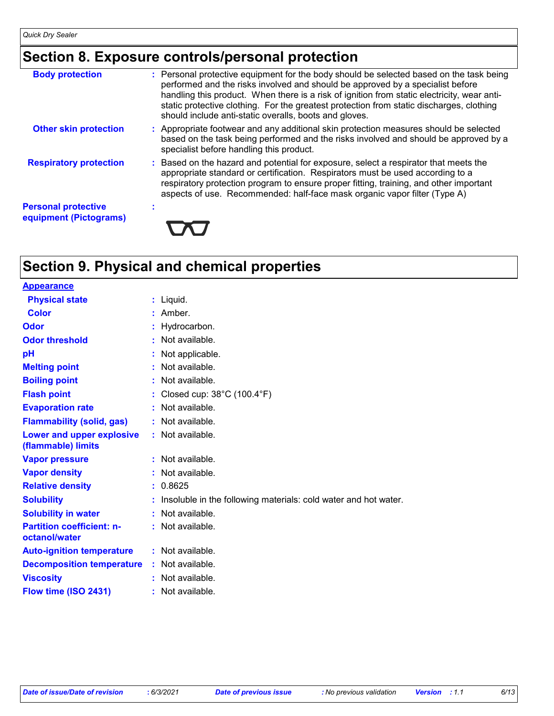# **Section 8. Exposure controls/personal protection**

| <b>Body protection</b>                               | : Personal protective equipment for the body should be selected based on the task being<br>performed and the risks involved and should be approved by a specialist before<br>handling this product. When there is a risk of ignition from static electricity, wear anti-<br>static protective clothing. For the greatest protection from static discharges, clothing<br>should include anti-static overalls, boots and gloves. |
|------------------------------------------------------|--------------------------------------------------------------------------------------------------------------------------------------------------------------------------------------------------------------------------------------------------------------------------------------------------------------------------------------------------------------------------------------------------------------------------------|
| <b>Other skin protection</b>                         | : Appropriate footwear and any additional skin protection measures should be selected<br>based on the task being performed and the risks involved and should be approved by a<br>specialist before handling this product.                                                                                                                                                                                                      |
| <b>Respiratory protection</b>                        | : Based on the hazard and potential for exposure, select a respirator that meets the<br>appropriate standard or certification. Respirators must be used according to a<br>respiratory protection program to ensure proper fitting, training, and other important<br>aspects of use. Recommended: half-face mask organic vapor filter (Type A)                                                                                  |
| <b>Personal protective</b><br>equipment (Pictograms) |                                                                                                                                                                                                                                                                                                                                                                                                                                |

# **Section 9. Physical and chemical properties**

| <b>Appearance</b>                                 |                                                                 |
|---------------------------------------------------|-----------------------------------------------------------------|
| <b>Physical state</b>                             | $:$ Liquid.                                                     |
| <b>Color</b>                                      | Amber.                                                          |
| Odor                                              | Hydrocarbon.                                                    |
| <b>Odor threshold</b>                             | Not available.                                                  |
| рH                                                | Not applicable.                                                 |
| <b>Melting point</b>                              | Not available.                                                  |
| <b>Boiling point</b>                              | Not available.                                                  |
| <b>Flash point</b>                                | Closed cup: $38^{\circ}$ C (100.4 $^{\circ}$ F)                 |
| <b>Evaporation rate</b>                           | Not available.                                                  |
| <b>Flammability (solid, gas)</b>                  | Not available.                                                  |
| Lower and upper explosive<br>(flammable) limits   | $:$ Not available.                                              |
| <b>Vapor pressure</b>                             | Not available.                                                  |
| <b>Vapor density</b>                              | Not available.                                                  |
| <b>Relative density</b>                           | 0.8625                                                          |
| <b>Solubility</b>                                 | Insoluble in the following materials: cold water and hot water. |
| <b>Solubility in water</b>                        | Not available.                                                  |
| <b>Partition coefficient: n-</b><br>octanol/water | : Not available.                                                |
| <b>Auto-ignition temperature</b>                  | $:$ Not available.                                              |
| <b>Decomposition temperature</b>                  | : Not available.                                                |
| <b>Viscosity</b>                                  | Not available.                                                  |
| Flow time (ISO 2431)                              | $:$ Not available.                                              |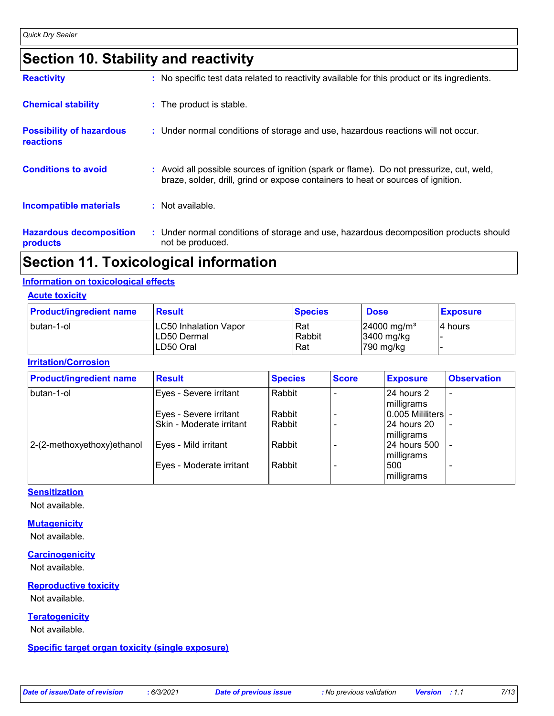# **Section 10. Stability and reactivity**

| <b>Reactivity</b>                            | : No specific test data related to reactivity available for this product or its ingredients.                                                                                 |
|----------------------------------------------|------------------------------------------------------------------------------------------------------------------------------------------------------------------------------|
| <b>Chemical stability</b>                    | : The product is stable.                                                                                                                                                     |
| <b>Possibility of hazardous</b><br>reactions | : Under normal conditions of storage and use, hazardous reactions will not occur.                                                                                            |
| <b>Conditions to avoid</b>                   | : Avoid all possible sources of ignition (spark or flame). Do not pressurize, cut, weld,<br>braze, solder, drill, grind or expose containers to heat or sources of ignition. |
| Incompatible materials                       | : Not available.                                                                                                                                                             |
| <b>Hazardous decomposition</b><br>products   | : Under normal conditions of storage and use, hazardous decomposition products should<br>not be produced.                                                                    |

# **Section 11. Toxicological information**

#### **Information on toxicological effects**

#### **Acute toxicity**

| <b>Product/ingredient name</b> | <b>Result</b>                                     | <b>Species</b>       | <b>Dose</b>                                          | <b>Exposure</b> |
|--------------------------------|---------------------------------------------------|----------------------|------------------------------------------------------|-----------------|
| butan-1-ol                     | LC50 Inhalation Vapor<br>LD50 Dermal<br>LD50 Oral | Rat<br>Rabbit<br>Rat | $24000$ mg/m <sup>3</sup><br>3400 mg/kg<br>790 mg/kg | 14 hours        |

#### **Irritation/Corrosion**

| <b>Product/ingredient name</b> | <b>Result</b>            | <b>Species</b> | <b>Score</b> | <b>Exposure</b>            | <b>Observation</b>       |
|--------------------------------|--------------------------|----------------|--------------|----------------------------|--------------------------|
| butan-1-ol                     | Eyes - Severe irritant   | Rabbit         |              | 24 hours 2<br>milligrams   |                          |
|                                | Eyes - Severe irritant   | Rabbit         |              | 0.005 Mililiters   -       |                          |
|                                | Skin - Moderate irritant | Rabbit         |              | 24 hours 20<br>milligrams  | $\overline{\phantom{a}}$ |
| 2-(2-methoxyethoxy) ethanol    | Eyes - Mild irritant     | Rabbit         |              | 24 hours 500<br>milligrams |                          |
|                                | Eyes - Moderate irritant | Rabbit         |              | 500<br>milligrams          |                          |

#### **Sensitization**

Not available.

#### **Mutagenicity**

Not available.

#### **Carcinogenicity**

Not available.

### **Reproductive toxicity**

Not available.

#### **Teratogenicity**

Not available.

#### **Specific target organ toxicity (single exposure)**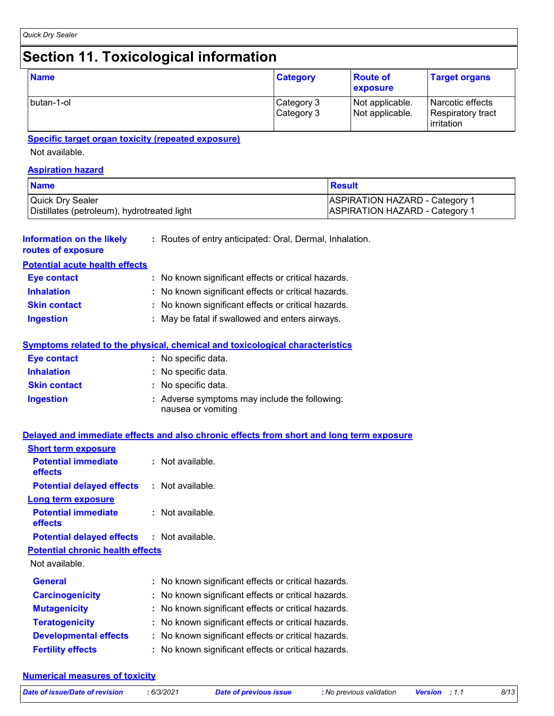# **Section 11. Toxicological information**

| <b>Name</b> | <b>Category</b>          | <b>Route of</b><br>exposure        | <b>Target organs</b>                                        |
|-------------|--------------------------|------------------------------------|-------------------------------------------------------------|
| butan-1-ol  | Category 3<br>Category 3 | Not applicable.<br>Not applicable. | Narcotic effects<br>Respiratory tract<br><b>lirritation</b> |

#### **Specific target organ toxicity (repeated exposure)**

Not available.

#### **Aspiration hazard**

| <b>Name</b>                                 | Result                                |
|---------------------------------------------|---------------------------------------|
| Quick Dry Sealer                            | <b>ASPIRATION HAZARD - Category 1</b> |
| Distillates (petroleum), hydrotreated light | <b>ASPIRATION HAZARD - Category 1</b> |

| Information on the likely<br>routes of exposure | : Routes of entry anticipated: Oral, Dermal, Inhalation.                                                                          |
|-------------------------------------------------|-----------------------------------------------------------------------------------------------------------------------------------|
| <b>Potential acute health effects</b>           |                                                                                                                                   |
| Eye contact                                     | : No known significant effects or critical hazards.                                                                               |
| <b>Inhalation</b>                               | : No known significant effects or critical hazards.                                                                               |
| <b>Skin contact</b>                             | : No known significant effects or critical hazards.                                                                               |
| <b>Ingestion</b>                                | : May be fatal if swallowed and enters airways.                                                                                   |
| Eye contact<br><b>Inhalation</b>                | <b>Symptoms related to the physical, chemical and toxicological characteristics</b><br>: No specific data.<br>: No specific data. |
| <b>Skin contact</b>                             | : No specific data.                                                                                                               |
| <b>Ingestion</b>                                | : Adverse symptoms may include the following:<br>nausea or vomiting                                                               |
| <b>Short term exposure</b>                      | Delayed and immediate effects and also chronic effects from short and long term exposure                                          |
|                                                 |                                                                                                                                   |

| <b>Potential immediate</b><br><b>effects</b>      | $:$ Not available.                                  |
|---------------------------------------------------|-----------------------------------------------------|
| <b>Potential delayed effects</b>                  | : Not available.                                    |
| Long term exposure                                |                                                     |
| <b>Potential immediate</b><br>effects             | $:$ Not available.                                  |
| <b>Potential delayed effects : Not available.</b> |                                                     |
| <b>Potential chronic health effects</b>           |                                                     |
| Not available.                                    |                                                     |
| <b>General</b>                                    | : No known significant effects or critical hazards. |
| <b>Carcinogenicity</b>                            | : No known significant effects or critical hazards. |
| <b>Mutagenicity</b>                               | : No known significant effects or critical hazards. |
| <b>Teratogenicity</b>                             | : No known significant effects or critical hazards. |
| <b>Developmental effects</b>                      | : No known significant effects or critical hazards. |
| <b>Fertility effects</b>                          | : No known significant effects or critical hazards. |

#### **Numerical measures of toxicity**

|  |  | Date of issue/Date of revision |  |
|--|--|--------------------------------|--|
|  |  |                                |  |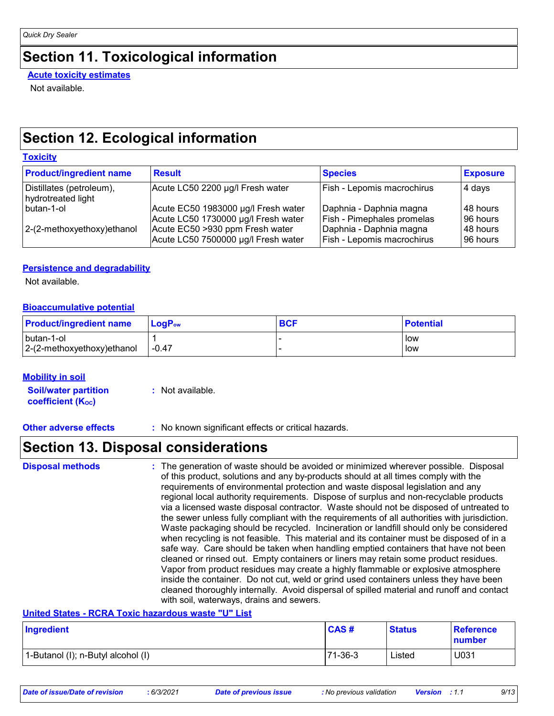# **Section 11. Toxicological information**

**Acute toxicity estimates**

Not available.

## **Section 12. Ecological information**

#### **Toxicity**

| <b>Product/ingredient name</b>                 | <b>Result</b>                       | <b>Species</b>             | <b>Exposure</b> |
|------------------------------------------------|-------------------------------------|----------------------------|-----------------|
| Distillates (petroleum),<br>hydrotreated light | Acute LC50 2200 µg/l Fresh water    | Fish - Lepomis macrochirus | 4 days          |
| butan-1-ol                                     | Acute EC50 1983000 µg/l Fresh water | Daphnia - Daphnia magna    | 148 hours       |
|                                                | Acute LC50 1730000 µg/l Fresh water | Fish - Pimephales promelas | 96 hours        |
| 2-(2-methoxyethoxy) ethanol                    | Acute EC50 >930 ppm Fresh water     | Daphnia - Daphnia magna    | 148 hours       |
|                                                | Acute LC50 7500000 µg/l Fresh water | Fish - Lepomis macrochirus | I96 hours       |

#### **Persistence and degradability**

Not available.

#### **Bioaccumulative potential**

| <b>Product/ingredient name</b> | ⊺LoɑP <sub>ow</sub> | <b>BCF</b> | <b>Potential</b> |
|--------------------------------|---------------------|------------|------------------|
| butan-1-ol                     |                     |            | l low            |
| 2-(2-methoxyethoxy) ethanol    | -0.47               |            | low              |

#### **Mobility in soil**

**Soil/water partition coefficient (KOC) :** Not available.

**Other adverse effects** : No known significant effects or critical hazards.

### **Section 13. Disposal considerations**

The generation of waste should be avoided or minimized wherever possible. Disposal of this product, solutions and any by-products should at all times comply with the requirements of environmental protection and waste disposal legislation and any regional local authority requirements. Dispose of surplus and non-recyclable products via a licensed waste disposal contractor. Waste should not be disposed of untreated to the sewer unless fully compliant with the requirements of all authorities with jurisdiction. Waste packaging should be recycled. Incineration or landfill should only be considered when recycling is not feasible. This material and its container must be disposed of in a safe way. Care should be taken when handling emptied containers that have not been cleaned or rinsed out. Empty containers or liners may retain some product residues. Vapor from product residues may create a highly flammable or explosive atmosphere inside the container. Do not cut, weld or grind used containers unless they have been cleaned thoroughly internally. Avoid dispersal of spilled material and runoff and contact with soil, waterways, drains and sewers. **Disposal methods :**

#### **United States - RCRA Toxic hazardous waste "U" List**

| Ingredient                         | CAS#    | <b>Status</b> | <b>Reference</b><br>number |
|------------------------------------|---------|---------------|----------------------------|
| 1-Butanol (I); n-Butyl alcohol (I) | 71-36-3 | Listed        | U031                       |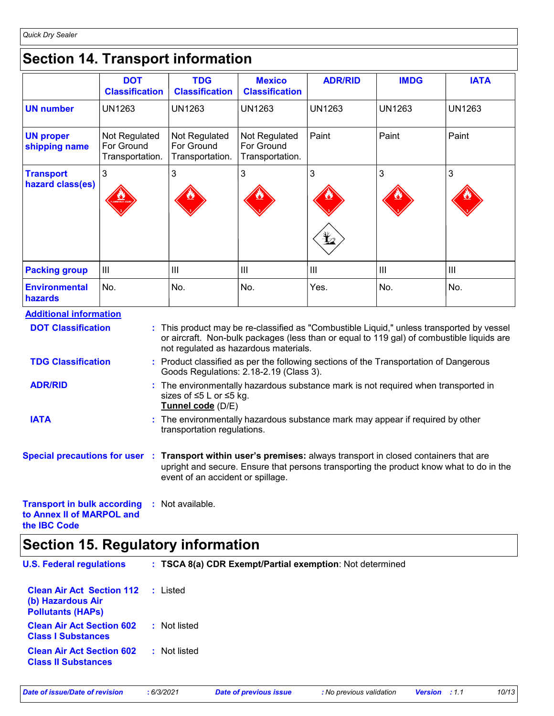*Quick Dry Sealer*

### **Section 14. Transport information**

|                                        | <b>DOT</b><br><b>Classification</b>            | <b>TDG</b><br><b>Classification</b>                                                                                                                                                                                             | <b>Mexico</b><br><b>Classification</b>         | <b>ADR/RID</b> | <b>IMDG</b>   | <b>IATA</b>   |
|----------------------------------------|------------------------------------------------|---------------------------------------------------------------------------------------------------------------------------------------------------------------------------------------------------------------------------------|------------------------------------------------|----------------|---------------|---------------|
| <b>UN number</b>                       | <b>UN1263</b>                                  | <b>UN1263</b>                                                                                                                                                                                                                   | <b>UN1263</b>                                  | <b>UN1263</b>  | <b>UN1263</b> | <b>UN1263</b> |
| <b>UN proper</b><br>shipping name      | Not Regulated<br>For Ground<br>Transportation. | Not Regulated<br>For Ground<br>Transportation.                                                                                                                                                                                  | Not Regulated<br>For Ground<br>Transportation. | Paint          | Paint         | Paint         |
| <b>Transport</b>                       | 3                                              | 3                                                                                                                                                                                                                               | 3                                              | 3              | 3             | 3             |
| hazard class(es)                       |                                                |                                                                                                                                                                                                                                 |                                                | ¥              |               |               |
| <b>Packing group</b>                   | $\mathbf{III}$                                 | Ш                                                                                                                                                                                                                               | $\mathbf{III}$                                 | $\mathbf{III}$ | III           | III           |
| <b>Environmental</b><br><b>hazards</b> | No.                                            | No.                                                                                                                                                                                                                             | No.                                            | Yes.           | No.           | No.           |
| <b>Additional information</b>          |                                                |                                                                                                                                                                                                                                 |                                                |                |               |               |
| <b>DOT Classification</b>              |                                                | : This product may be re-classified as "Combustible Liquid," unless transported by vessel<br>or aircraft. Non-bulk packages (less than or equal to 119 gal) of combustible liquids are<br>not regulated as hazardous materials. |                                                |                |               |               |
| <b>TDG Classification</b>              |                                                | • Product classified as ner the following sections of the Transportation of Dangerous                                                                                                                                           |                                                |                |               |               |

- t classified as per the following sections of the Transportation of Dangerous Goods Regulations: 2.18-2.19 (Class 3). **TDG Classification :**
- The environmentally hazardous substance mark is not required when transported in **:** sizes of ≤5 L or ≤5 kg. **Tunnel code** (D/E) **ADR/RID**
- The environmentally hazardous substance mark may appear if required by other **:** transportation regulations. **IATA**
- **Special precautions for user Transport within user's premises:** always transport in closed containers that are **:** upright and secure. Ensure that persons transporting the product know what to do in the event of an accident or spillage.

```
Transport in bulk according 
: Not available.
to Annex II of MARPOL and 
the IBC Code
```
# **Section 15. Regulatory information**

| <b>U.S. Federal regulations</b>                                                   | : TSCA 8(a) CDR Exempt/Partial exemption: Not determined |
|-----------------------------------------------------------------------------------|----------------------------------------------------------|
| <b>Clean Air Act Section 112</b><br>(b) Hazardous Air<br><b>Pollutants (HAPS)</b> | : Listed                                                 |
| <b>Clean Air Act Section 602</b><br><b>Class I Substances</b>                     | : Not listed                                             |
| <b>Clean Air Act Section 602</b><br><b>Class II Substances</b>                    | : Not listed                                             |
|                                                                                   |                                                          |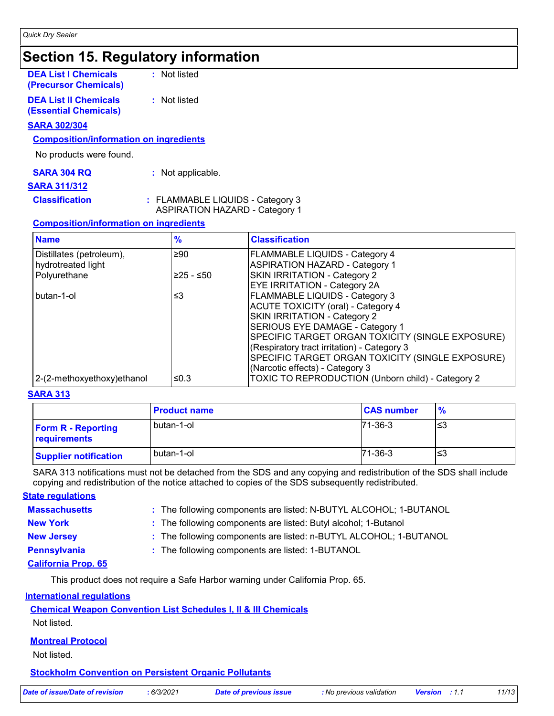# **Section 15. Regulatory information**

**DEA List I Chemicals (Precursor Chemicals)** **:** Not listed

**DEA List II Chemicals (Essential Chemicals)** **:** Not listed

#### **SARA 302/304**

#### **Composition/information on ingredients**

No products were found.

| <b>SARA 304 RQ</b> | : Not applicable. |
|--------------------|-------------------|
|--------------------|-------------------|

#### **SARA 311/312**

**Classification :** FLAMMABLE LIQUIDS - Category 3

ASPIRATION HAZARD - Category 1

#### **Composition/information on ingredients**

| <b>Name</b>                 | $\frac{9}{6}$ | <b>Classification</b>                             |
|-----------------------------|---------------|---------------------------------------------------|
| Distillates (petroleum),    | ≥90           | <b>FLAMMABLE LIQUIDS - Category 4</b>             |
| hydrotreated light          |               | <b>ASPIRATION HAZARD - Category 1</b>             |
| Polyurethane                | $≥25 - ≤50$   | SKIN IRRITATION - Category 2                      |
|                             |               | <b>EYE IRRITATION - Category 2A</b>               |
| butan-1-ol                  | ≤3            | <b>FLAMMABLE LIQUIDS - Category 3</b>             |
|                             |               | <b>ACUTE TOXICITY (oral) - Category 4</b>         |
|                             |               | SKIN IRRITATION - Category 2                      |
|                             |               | SERIOUS EYE DAMAGE - Category 1                   |
|                             |               | SPECIFIC TARGET ORGAN TOXICITY (SINGLE EXPOSURE)  |
|                             |               | (Respiratory tract irritation) - Category 3       |
|                             |               | SPECIFIC TARGET ORGAN TOXICITY (SINGLE EXPOSURE)  |
|                             |               | (Narcotic effects) - Category 3                   |
| 2-(2-methoxyethoxy) ethanol | ≤0.3          | TOXIC TO REPRODUCTION (Unborn child) - Category 2 |

#### **SARA 313**

|                                           | <b>Product name</b> | <b>CAS number</b> | $\frac{9}{6}$ |
|-------------------------------------------|---------------------|-------------------|---------------|
| <b>Form R - Reporting</b><br>requirements | butan-1-ol          | $71 - 36 - 3$     | '≤3           |
| <b>Supplier notification</b>              | l butan-1-ol        | $71-36-3$         | '≤3           |

SARA 313 notifications must not be detached from the SDS and any copying and redistribution of the SDS shall include copying and redistribution of the notice attached to copies of the SDS subsequently redistributed.

**Massachusetts : State regulations**

| : The following components are listed: N-BUTYL ALCOHOL; 1-BUTANOL |  |
|-------------------------------------------------------------------|--|
|-------------------------------------------------------------------|--|

**New York :** The following components are listed: Butyl alcohol; 1-Butanol

- 
- **New Jersey :** The following components are listed: n-BUTYL ALCOHOL; 1-BUTANOL
- 
- **Pennsylvania :** The following components are listed: 1-BUTANOL

#### **California Prop. 65**

This product does not require a Safe Harbor warning under California Prop. 65.

#### **International regulations**

#### **Chemical Weapon Convention List Schedules I, II & III Chemicals**

Not listed.

#### **Montreal Protocol**

Not listed.

#### **Stockholm Convention on Persistent Organic Pollutants**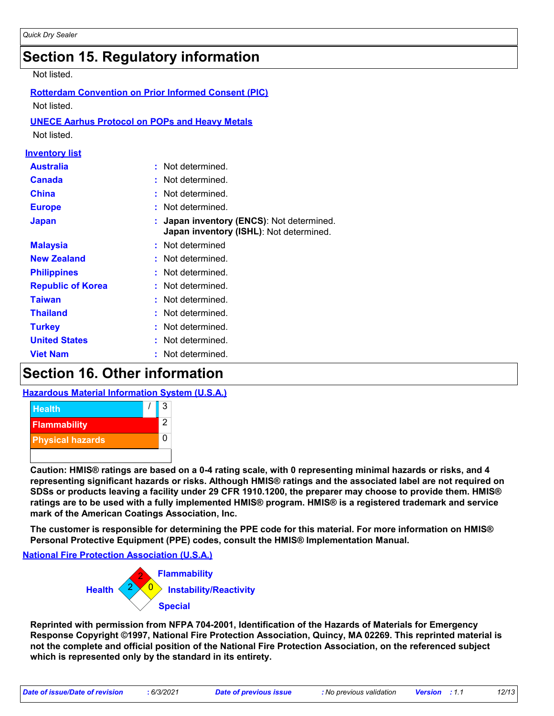# **Section 15. Regulatory information**

Not listed.

| <b>Rotterdam Convention on Prior Informed Consent (PIC)</b> |                                                                                    |  |  |  |
|-------------------------------------------------------------|------------------------------------------------------------------------------------|--|--|--|
| Not listed.                                                 |                                                                                    |  |  |  |
| <b>UNECE Aarhus Protocol on POPs and Heavy Metals</b>       |                                                                                    |  |  |  |
| Not listed.                                                 |                                                                                    |  |  |  |
| <u>Inventory list</u>                                       |                                                                                    |  |  |  |
| <b>Australia</b>                                            | Not determined.<br>÷                                                               |  |  |  |
| <b>Canada</b>                                               | Not determined.<br>÷                                                               |  |  |  |
| <b>China</b>                                                | Not determined.<br>t                                                               |  |  |  |
| <b>Europe</b>                                               | Not determined.<br>٠                                                               |  |  |  |
| <b>Japan</b>                                                | Japan inventory (ENCS): Not determined.<br>Japan inventory (ISHL): Not determined. |  |  |  |
| <b>Malaysia</b>                                             | Not determined                                                                     |  |  |  |
| <b>New Zealand</b>                                          | Not determined.                                                                    |  |  |  |
| <b>Philippines</b>                                          | Not determined.                                                                    |  |  |  |
| <b>Republic of Korea</b>                                    | Not determined.                                                                    |  |  |  |
| <b>Taiwan</b>                                               | Not determined.                                                                    |  |  |  |
| <b>Thailand</b>                                             | Not determined.                                                                    |  |  |  |
| <b>Turkey</b>                                               | Not determined.                                                                    |  |  |  |
| <b>United States</b>                                        | Not determined.                                                                    |  |  |  |
| <b>Viet Nam</b>                                             | Not determined.                                                                    |  |  |  |

## **Section 16. Other information**

#### **Hazardous Material Information System (U.S.A.)**



**Caution: HMIS® ratings are based on a 0-4 rating scale, with 0 representing minimal hazards or risks, and 4 representing significant hazards or risks. Although HMIS® ratings and the associated label are not required on SDSs or products leaving a facility under 29 CFR 1910.1200, the preparer may choose to provide them. HMIS® ratings are to be used with a fully implemented HMIS® program. HMIS® is a registered trademark and service mark of the American Coatings Association, Inc.**

**The customer is responsible for determining the PPE code for this material. For more information on HMIS® Personal Protective Equipment (PPE) codes, consult the HMIS® Implementation Manual.**

**National Fire Protection Association (U.S.A.)**



**Reprinted with permission from NFPA 704-2001, Identification of the Hazards of Materials for Emergency Response Copyright ©1997, National Fire Protection Association, Quincy, MA 02269. This reprinted material is not the complete and official position of the National Fire Protection Association, on the referenced subject which is represented only by the standard in its entirety.**